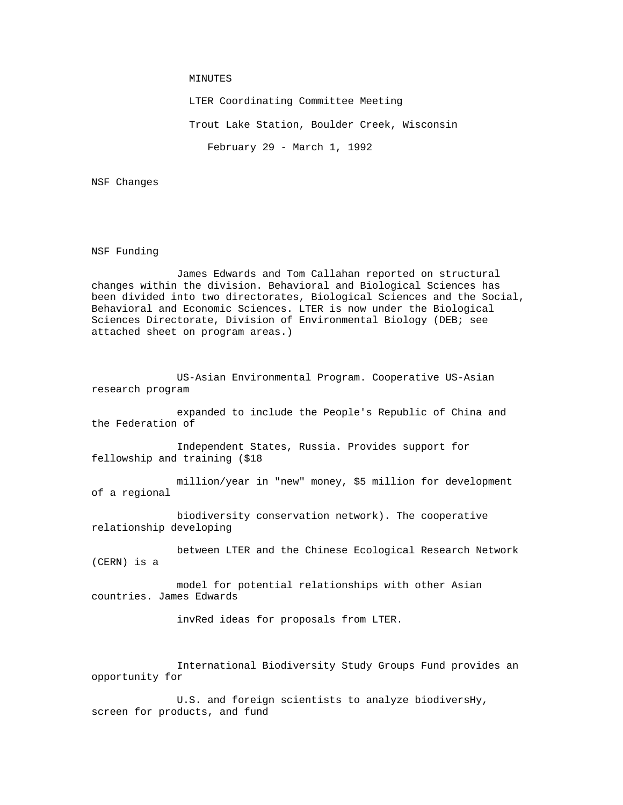## MINUTES

LTER Coordinating Committee Meeting

Trout Lake Station, Boulder Creek, Wisconsin

February 29 - March 1, 1992

NSF Changes

NSF Funding

 James Edwards and Tom Callahan reported on structural changes within the division. Behavioral and Biological Sciences has been divided into two directorates, Biological Sciences and the Social, Behavioral and Economic Sciences. LTER is now under the Biological Sciences Directorate, Division of Environmental Biology (DEB; see attached sheet on program areas.)

 US-Asian Environmental Program. Cooperative US-Asian research program

 expanded to include the People's Republic of China and the Federation of

 Independent States, Russia. Provides support for fellowship and training (\$18

 million/year in "new" money, \$5 million for development of a regional

 biodiversity conservation network). The cooperative relationship developing

 between LTER and the Chinese Ecological Research Network (CERN) is a

 model for potential relationships with other Asian countries. James Edwards

invRed ideas for proposals from LTER.

 International Biodiversity Study Groups Fund provides an opportunity for

 U.S. and foreign scientists to analyze biodiversHy, screen for products, and fund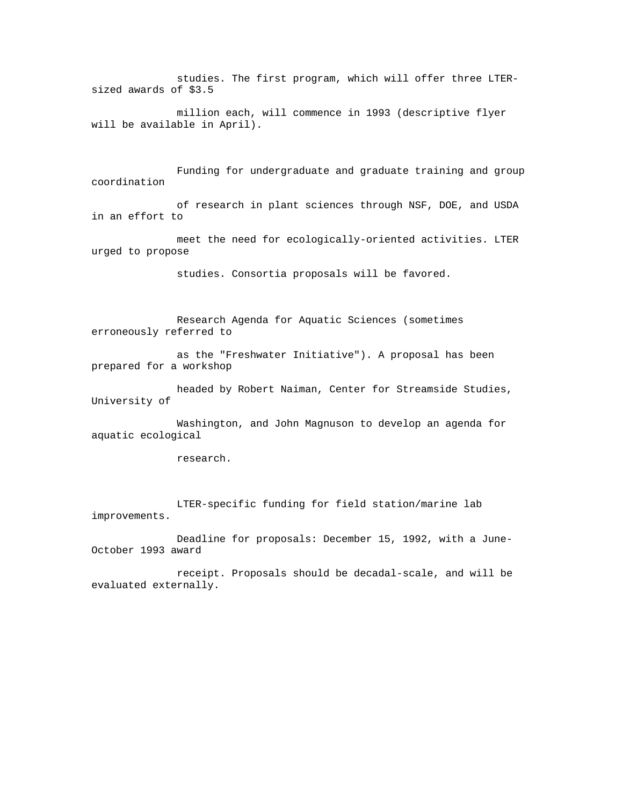studies. The first program, which will offer three LTERsized awards of \$3.5

 million each, will commence in 1993 (descriptive flyer will be available in April).

 Funding for undergraduate and graduate training and group coordination

 of research in plant sciences through NSF, DOE, and USDA in an effort to

 meet the need for ecologically-oriented activities. LTER urged to propose

studies. Consortia proposals will be favored.

 Research Agenda for Aquatic Sciences (sometimes erroneously referred to

 as the "Freshwater Initiative"). A proposal has been prepared for a workshop

 headed by Robert Naiman, Center for Streamside Studies, University of

 Washington, and John Magnuson to develop an agenda for aquatic ecological

research.

 LTER-specific funding for field station/marine lab improvements.

 Deadline for proposals: December 15, 1992, with a June-October 1993 award

 receipt. Proposals should be decadal-scale, and will be evaluated externally.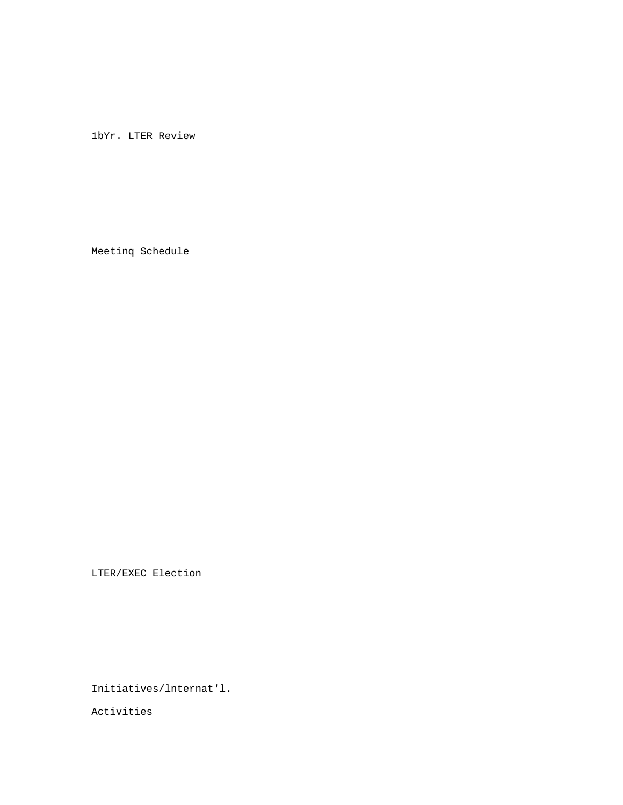1bYr. LTER Review

Meetinq Schedule

LTER/EXEC Election

Initiatives/lnternat'l.

Activities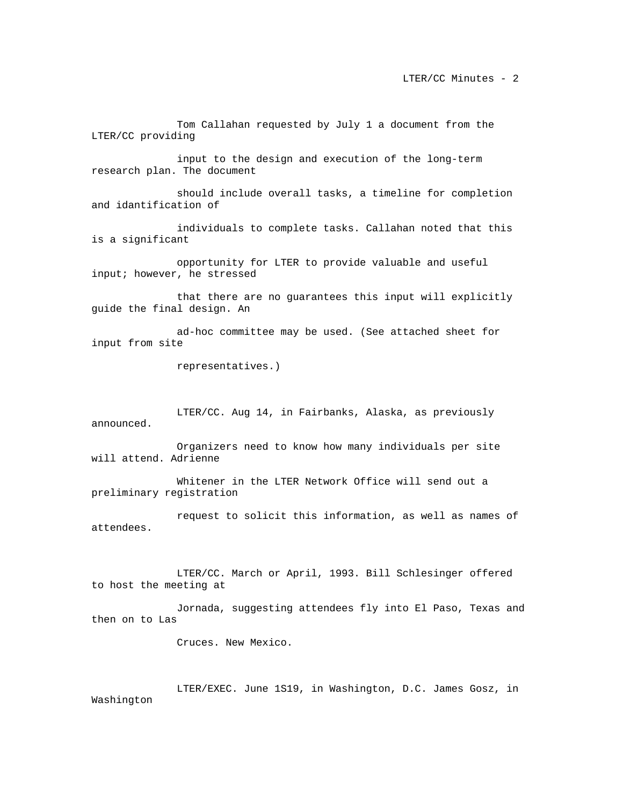Tom Callahan requested by July 1 a document from the LTER/CC providing

 input to the design and execution of the long-term research plan. The document

 should include overall tasks, a timeline for completion and idantification of

 individuals to complete tasks. Callahan noted that this is a significant

 opportunity for LTER to provide valuable and useful input; however, he stressed

 that there are no guarantees this input will explicitly guide the final design. An

 ad-hoc committee may be used. (See attached sheet for input from site

representatives.)

 LTER/CC. Aug 14, in Fairbanks, Alaska, as previously announced.

 Organizers need to know how many individuals per site will attend. Adrienne

 Whitener in the LTER Network Office will send out a preliminary registration

 request to solicit this information, as well as names of attendees.

 LTER/CC. March or April, 1993. Bill Schlesinger offered to host the meeting at

 Jornada, suggesting attendees fly into El Paso, Texas and then on to Las

Cruces. New Mexico.

 LTER/EXEC. June 1S19, in Washington, D.C. James Gosz, in Washington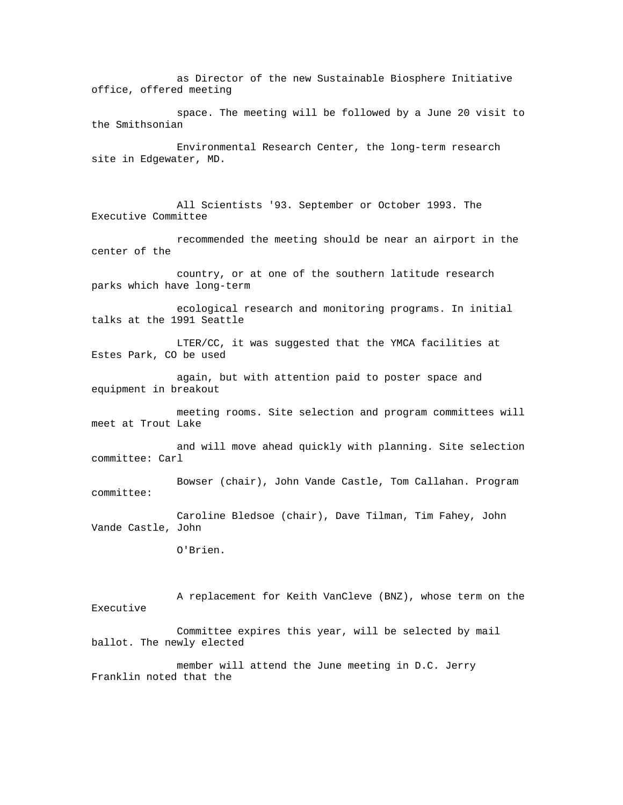as Director of the new Sustainable Biosphere Initiative office, offered meeting

 space. The meeting will be followed by a June 20 visit to the Smithsonian

 Environmental Research Center, the long-term research site in Edgewater, MD.

 All Scientists '93. September or October 1993. The Executive Committee

 recommended the meeting should be near an airport in the center of the

 country, or at one of the southern latitude research parks which have long-term

 ecological research and monitoring programs. In initial talks at the 1991 Seattle

 LTER/CC, it was suggested that the YMCA facilities at Estes Park, CO be used

 again, but with attention paid to poster space and equipment in breakout

 meeting rooms. Site selection and program committees will meet at Trout Lake

 and will move ahead quickly with planning. Site selection committee: Carl

 Bowser (chair), John Vande Castle, Tom Callahan. Program committee:

 Caroline Bledsoe (chair), Dave Tilman, Tim Fahey, John Vande Castle, John

O'Brien.

 A replacement for Keith VanCleve (BNZ), whose term on the Executive

 Committee expires this year, will be selected by mail ballot. The newly elected

 member will attend the June meeting in D.C. Jerry Franklin noted that the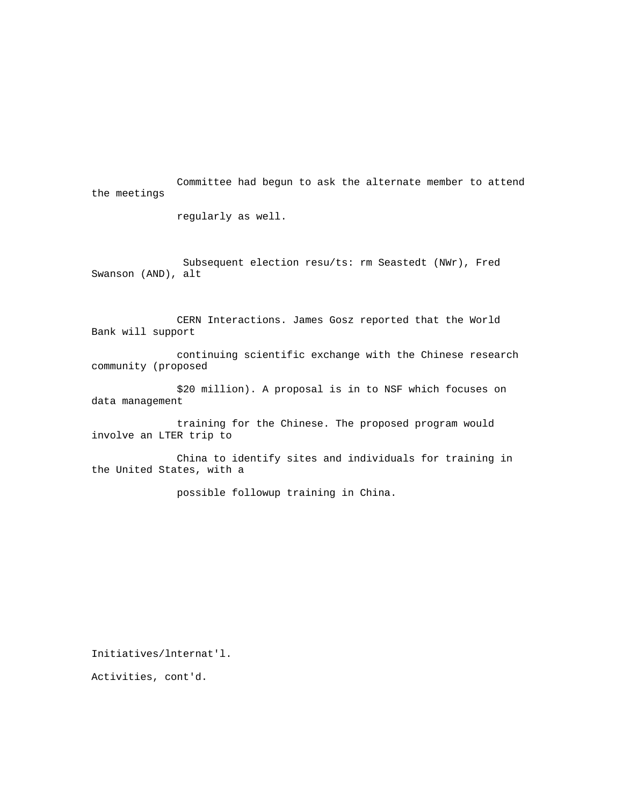Committee had begun to ask the alternate member to attend the meetings

regularly as well.

 Subsequent election resu/ts: rm Seastedt (NWr), Fred Swanson (AND), alt

 CERN Interactions. James Gosz reported that the World Bank will support

 continuing scientific exchange with the Chinese research community (proposed

 \$20 million). A proposal is in to NSF which focuses on data management

 training for the Chinese. The proposed program would involve an LTER trip to

 China to identify sites and individuals for training in the United States, with a

possible followup training in China.

Initiatives/lnternat'l.

Activities, cont'd.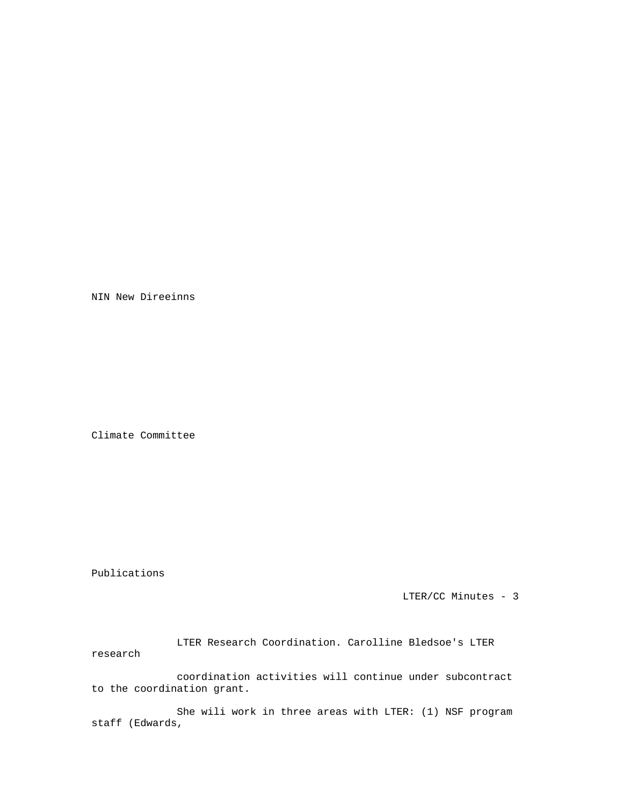NIN New Direeinns

Climate Committee

Publications

LTER/CC Minutes - 3

 LTER Research Coordination. Carolline Bledsoe's LTER research

 coordination activities will continue under subcontract to the coordination grant.

 She wili work in three areas with LTER: (1) NSF program staff (Edwards,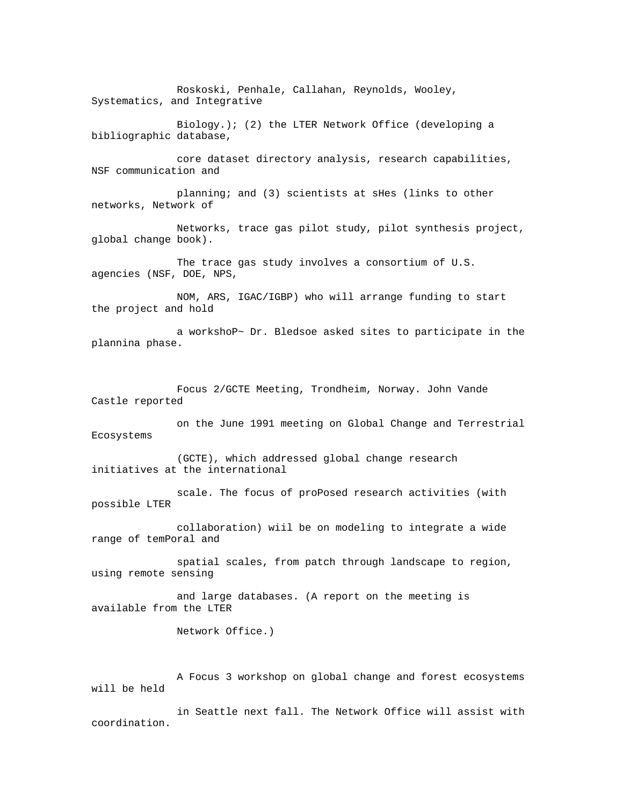Roskoski, Penhale, Callahan, Reynolds, Wooley, Systematics, and Integrative

 Biology.); (2) the LTER Network Office (developing a bibliographic database,

 core dataset directory analysis, research capabilities, NSF communication and

 planning; and (3) scientists at sHes (links to other networks, Network of

 Networks, trace gas pilot study, pilot synthesis project, global change book).

 The trace gas study involves a consortium of U.S. agencies (NSF, DOE, NPS,

 NOM, ARS, IGAC/IGBP) who will arrange funding to start the project and hold

 a workshoP~ Dr. Bledsoe asked sites to participate in the plannina phase.

 Focus 2/GCTE Meeting, Trondheim, Norway. John Vande Castle reported

 on the June 1991 meeting on Global Change and Terrestrial Ecosystems

 (GCTE), which addressed global change research initiatives at the international

 scale. The focus of proPosed research activities (with possible LTER

 collaboration) wiil be on modeling to integrate a wide range of temPoral and

 spatial scales, from patch through landscape to region, using remote sensing

 and large databases. (A report on the meeting is available from the LTER

Network Office.)

 A Focus 3 workshop on global change and forest ecosystems will be held

 in Seattle next fall. The Network Office will assist with coordination.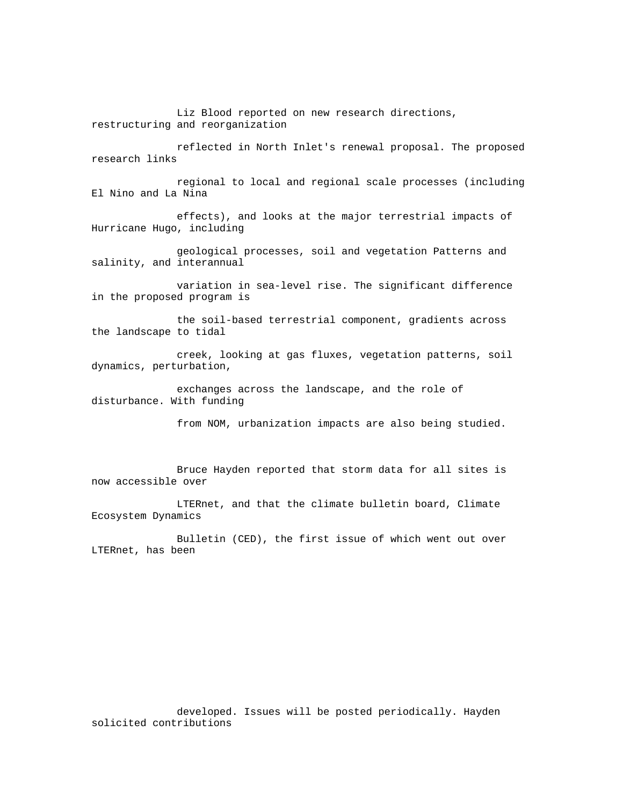Liz Blood reported on new research directions, restructuring and reorganization

 reflected in North Inlet's renewal proposal. The proposed research links

 regional to local and regional scale processes (including El Nino and La Nina

 effects), and looks at the major terrestrial impacts of Hurricane Hugo, including

 geological processes, soil and vegetation Patterns and salinity, and interannual

 variation in sea-level rise. The significant difference in the proposed program is

 the soil-based terrestrial component, gradients across the landscape to tidal

 creek, looking at gas fluxes, vegetation patterns, soil dynamics, perturbation,

 exchanges across the landscape, and the role of disturbance. With funding

from NOM, urbanization impacts are also being studied.

 Bruce Hayden reported that storm data for all sites is now accessible over

 LTERnet, and that the climate bulletin board, Climate Ecosystem Dynamics

 Bulletin (CED), the first issue of which went out over LTERnet, has been

 developed. Issues will be posted periodically. Hayden solicited contributions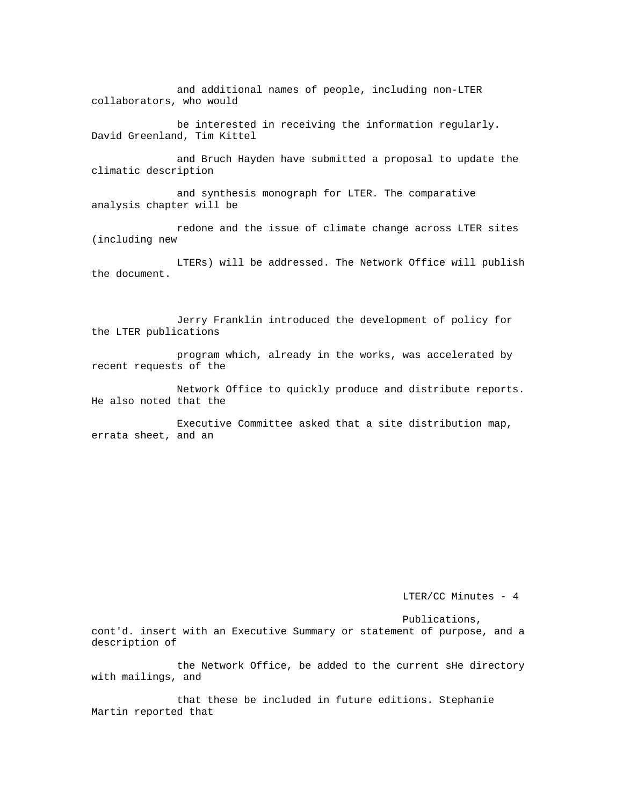and additional names of people, including non-LTER collaborators, who would

 be interested in receiving the information regularly. David Greenland, Tim Kittel

 and Bruch Hayden have submitted a proposal to update the climatic description

 and synthesis monograph for LTER. The comparative analysis chapter will be

 redone and the issue of climate change across LTER sites (including new

 LTERs) will be addressed. The Network Office will publish the document.

 Jerry Franklin introduced the development of policy for the LTER publications

 program which, already in the works, was accelerated by recent requests of the

 Network Office to quickly produce and distribute reports. He also noted that the

 Executive Committee asked that a site distribution map, errata sheet, and an

LTER/CC Minutes - 4

Publications,

cont'd. insert with an Executive Summary or statement of purpose, and a description of

 the Network Office, be added to the current sHe directory with mailings, and

 that these be included in future editions. Stephanie Martin reported that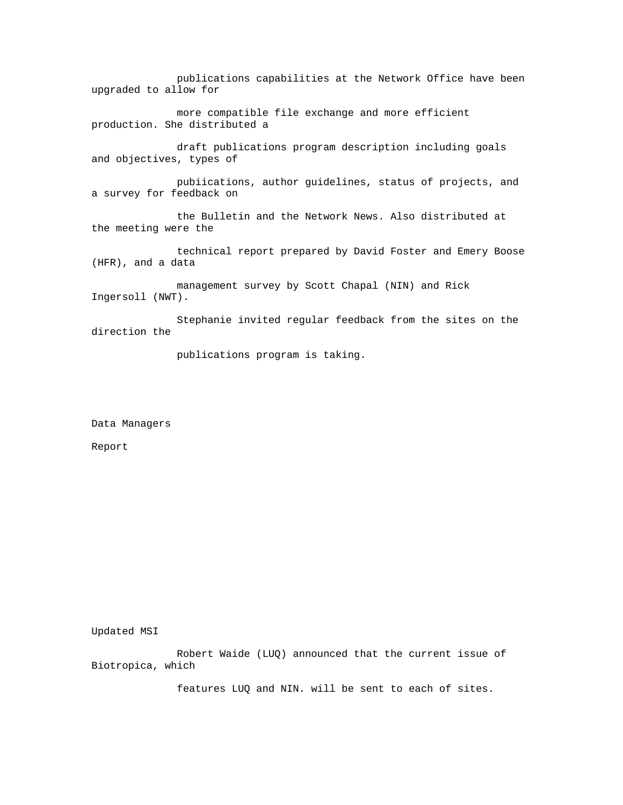publications capabilities at the Network Office have been upgraded to allow for

 more compatible file exchange and more efficient production. She distributed a

 draft publications program description including goals and objectives, types of

 pubiications, author guidelines, status of projects, and a survey for feedback on

 the Bulletin and the Network News. Also distributed at the meeting were the

 technical report prepared by David Foster and Emery Boose (HFR), and a data

 management survey by Scott Chapal (NIN) and Rick Ingersoll (NWT).

 Stephanie invited regular feedback from the sites on the direction the

publications program is taking.

Data Managers

Report

Updated MSI

 Robert Waide (LUQ) announced that the current issue of Biotropica, which

features LUQ and NIN. will be sent to each of sites.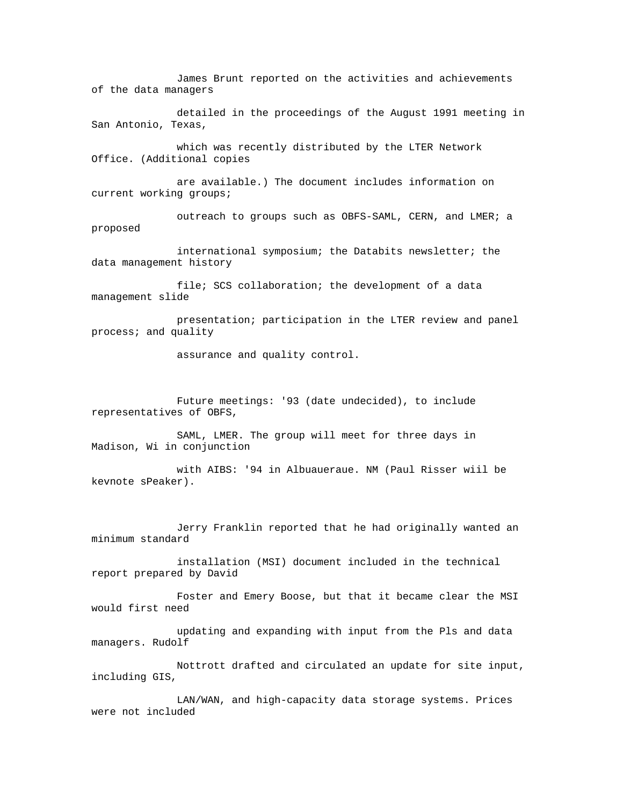James Brunt reported on the activities and achievements of the data managers

 detailed in the proceedings of the August 1991 meeting in San Antonio, Texas,

 which was recently distributed by the LTER Network Office. (Additional copies

 are available.) The document includes information on current working groups;

outreach to groups such as OBFS-SAML, CERN, and LMER; a proposed

 international symposium; the Databits newsletter; the data management history

file; SCS collaboration; the development of a data management slide

 presentation; participation in the LTER review and panel process; and quality

assurance and quality control.

 Future meetings: '93 (date undecided), to include representatives of OBFS,

 SAML, LMER. The group will meet for three days in Madison, Wi in conjunction

 with AIBS: '94 in Albuaueraue. NM (Paul Risser wiil be kevnote sPeaker).

 Jerry Franklin reported that he had originally wanted an minimum standard

 installation (MSI) document included in the technical report prepared by David

 Foster and Emery Boose, but that it became clear the MSI would first need

 updating and expanding with input from the Pls and data managers. Rudolf

 Nottrott drafted and circulated an update for site input, including GIS,

 LAN/WAN, and high-capacity data storage systems. Prices were not included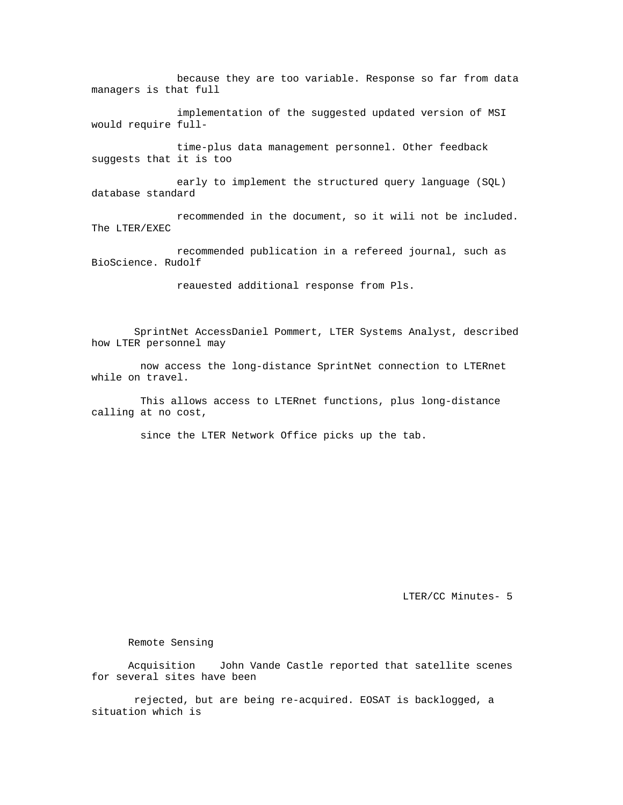because they are too variable. Response so far from data managers is that full

 implementation of the suggested updated version of MSI would require full-

 time-plus data management personnel. Other feedback suggests that it is too

 early to implement the structured query language (SQL) database standard

 recommended in the document, so it wili not be included. The LTER/EXEC

 recommended publication in a refereed journal, such as BioScience. Rudolf

reauested additional response from Pls.

 SprintNet AccessDaniel Pommert, LTER Systems Analyst, described how LTER personnel may

 now access the long-distance SprintNet connection to LTERnet while on travel.

 This allows access to LTERnet functions, plus long-distance calling at no cost,

since the LTER Network Office picks up the tab.

LTER/CC Minutes- 5

Remote Sensing

 Acquisition John Vande Castle reported that satellite scenes for several sites have been

 rejected, but are being re-acquired. EOSAT is backlogged, a situation which is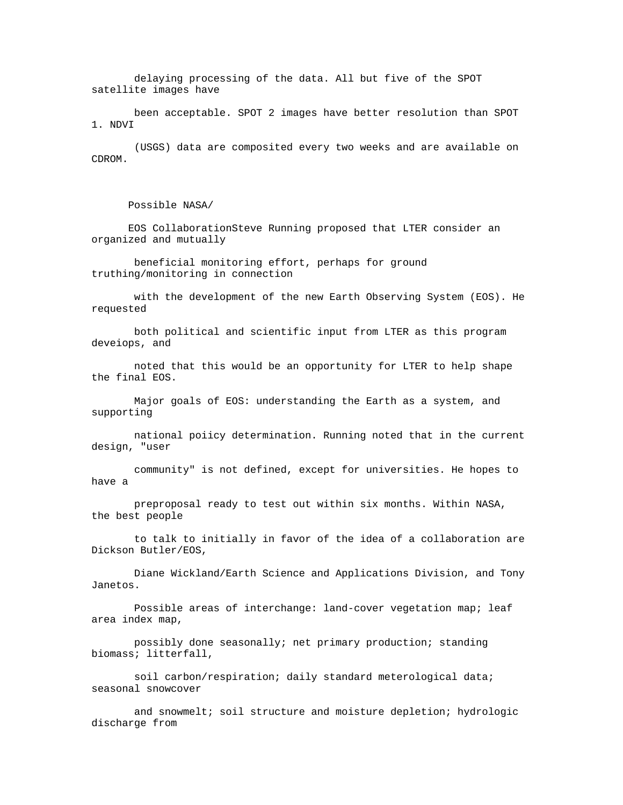delaying processing of the data. All but five of the SPOT satellite images have

 been acceptable. SPOT 2 images have better resolution than SPOT 1. NDVI

 (USGS) data are composited every two weeks and are available on CDROM.

Possible NASA/

 EOS CollaborationSteve Running proposed that LTER consider an organized and mutually

 beneficial monitoring effort, perhaps for ground truthing/monitoring in connection

 with the development of the new Earth Observing System (EOS). He requested

 both political and scientific input from LTER as this program deveiops, and

 noted that this would be an opportunity for LTER to help shape the final EOS.

 Major goals of EOS: understanding the Earth as a system, and supporting

 national poiicy determination. Running noted that in the current design, "user

 community" is not defined, except for universities. He hopes to have a

 preproposal ready to test out within six months. Within NASA, the best people

 to talk to initially in favor of the idea of a collaboration are Dickson Butler/EOS,

 Diane Wickland/Earth Science and Applications Division, and Tony Janetos.

 Possible areas of interchange: land-cover vegetation map; leaf area index map,

 possibly done seasonally; net primary production; standing biomass; litterfall,

 soil carbon/respiration; daily standard meterological data; seasonal snowcover

 and snowmelt; soil structure and moisture depletion; hydrologic discharge from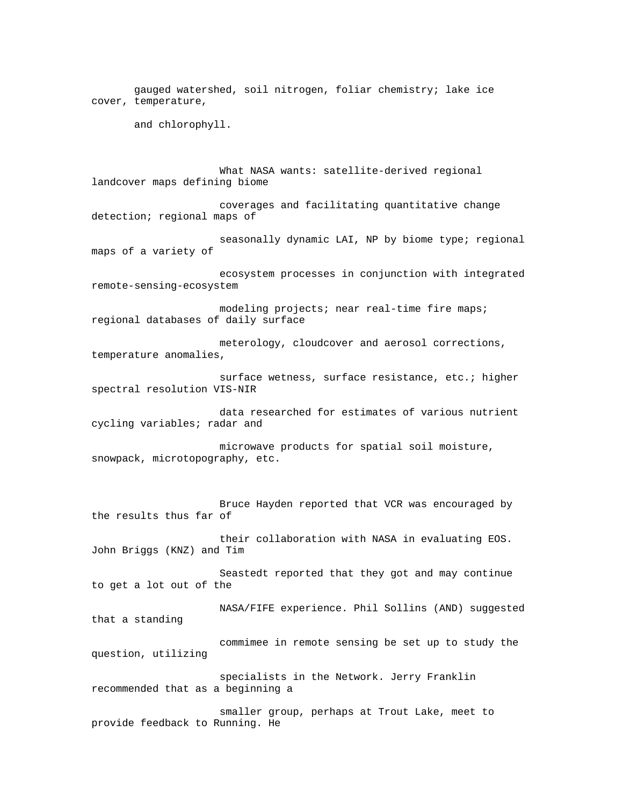gauged watershed, soil nitrogen, foliar chemistry; lake ice cover, temperature,

and chlorophyll.

 What NASA wants: satellite-derived regional landcover maps defining biome

 coverages and facilitating quantitative change detection; regional maps of

seasonally dynamic LAI, NP by biome type; regional maps of a variety of

 ecosystem processes in conjunction with integrated remote-sensing-ecosystem

 modeling projects; near real-time fire maps; regional databases of daily surface

 meterology, cloudcover and aerosol corrections, temperature anomalies,

 surface wetness, surface resistance, etc.; higher spectral resolution VIS-NIR

 data researched for estimates of various nutrient cycling variables; radar and

 microwave products for spatial soil moisture, snowpack, microtopography, etc.

 Bruce Hayden reported that VCR was encouraged by the results thus far of

 their collaboration with NASA in evaluating EOS. John Briggs (KNZ) and Tim

 Seastedt reported that they got and may continue to get a lot out of the

 NASA/FIFE experience. Phil Sollins (AND) suggested that a standing

 commimee in remote sensing be set up to study the question, utilizing

 specialists in the Network. Jerry Franklin recommended that as a beginning a

 smaller group, perhaps at Trout Lake, meet to provide feedback to Running. He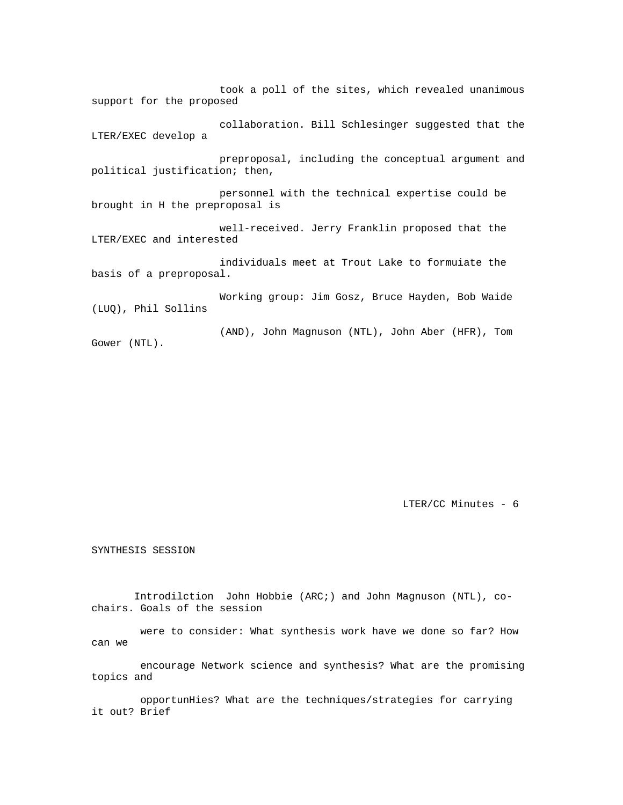took a poll of the sites, which revealed unanimous support for the proposed collaboration. Bill Schlesinger suggested that the LTER/EXEC develop a preproposal, including the conceptual argument and political justification; then, personnel with the technical expertise could be brought in H the preproposal is well-received. Jerry Franklin proposed that the LTER/EXEC and interested individuals meet at Trout Lake to formuiate the basis of a preproposal. Working group: Jim Gosz, Bruce Hayden, Bob Waide (LUQ), Phil Sollins

 (AND), John Magnuson (NTL), John Aber (HFR), Tom Gower (NTL).

LTER/CC Minutes - 6

SYNTHESIS SESSION

 Introdilction John Hobbie (ARC;) and John Magnuson (NTL), cochairs. Goals of the session

 were to consider: What synthesis work have we done so far? How can we

 encourage Network science and synthesis? What are the promising topics and

 opportunHies? What are the techniques/strategies for carrying it out? Brief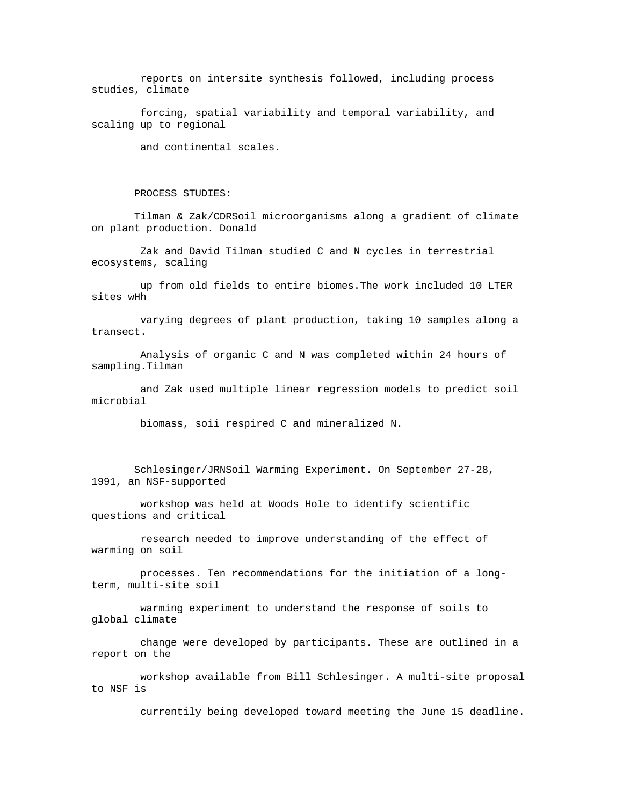reports on intersite synthesis followed, including process studies, climate

 forcing, spatial variability and temporal variability, and scaling up to regional

and continental scales.

## PROCESS STUDIES:

 Tilman & Zak/CDRSoil microorganisms along a gradient of climate on plant production. Donald

 Zak and David Tilman studied C and N cycles in terrestrial ecosystems, scaling

 up from old fields to entire biomes.The work included 10 LTER sites wHh

 varying degrees of plant production, taking 10 samples along a transect.

 Analysis of organic C and N was completed within 24 hours of sampling.Tilman

 and Zak used multiple linear regression models to predict soil microbial

biomass, soii respired C and mineralized N.

 Schlesinger/JRNSoil Warming Experiment. On September 27-28, 1991, an NSF-supported

 workshop was held at Woods Hole to identify scientific questions and critical

 research needed to improve understanding of the effect of warming on soil

 processes. Ten recommendations for the initiation of a longterm, multi-site soil

 warming experiment to understand the response of soils to global climate

 change were developed by participants. These are outlined in a report on the

 workshop available from Bill Schlesinger. A multi-site proposal to NSF is

currentily being developed toward meeting the June 15 deadline.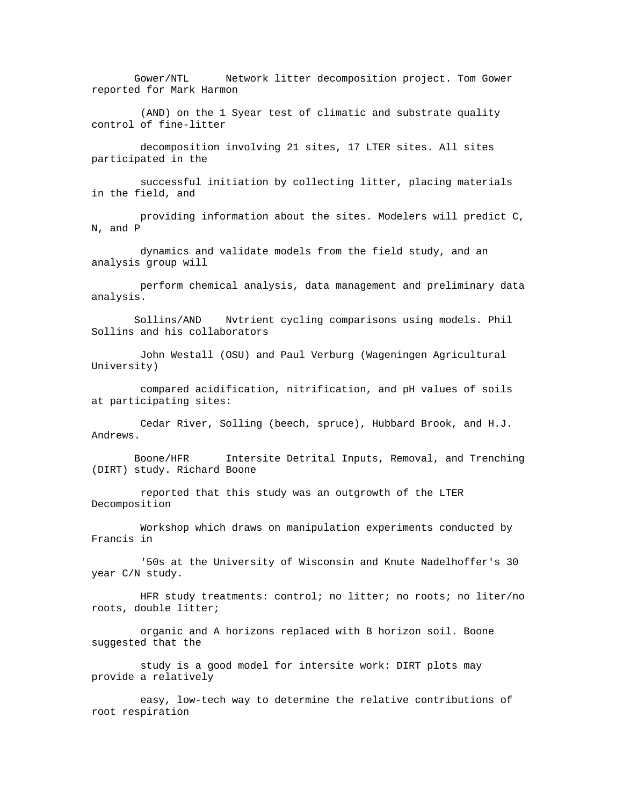Gower/NTL Network litter decomposition project. Tom Gower reported for Mark Harmon

 (AND) on the 1 Syear test of climatic and substrate quality control of fine-litter

 decomposition involving 21 sites, 17 LTER sites. All sites participated in the

 successful initiation by collecting litter, placing materials in the field, and

 providing information about the sites. Modelers will predict C, N, and P

 dynamics and validate models from the field study, and an analysis group will

 perform chemical analysis, data management and preliminary data analysis.

 Sollins/AND Nvtrient cycling comparisons using models. Phil Sollins and his collaborators

 John Westall (OSU) and Paul Verburg (Wageningen Agricultural University)

 compared acidification, nitrification, and pH values of soils at participating sites:

 Cedar River, Solling (beech, spruce), Hubbard Brook, and H.J. Andrews.

 Boone/HFR Intersite Detrital Inputs, Removal, and Trenching (DIRT) study. Richard Boone

 reported that this study was an outgrowth of the LTER Decomposition

 Workshop which draws on manipulation experiments conducted by Francis in

 '50s at the University of Wisconsin and Knute Nadelhoffer's 30 year C/N study.

 HFR study treatments: control; no litter; no roots; no liter/no roots, double litter;

 organic and A horizons replaced with B horizon soil. Boone suggested that the

 study is a good model for intersite work: DIRT plots may provide a relatively

 easy, low-tech way to determine the relative contributions of root respiration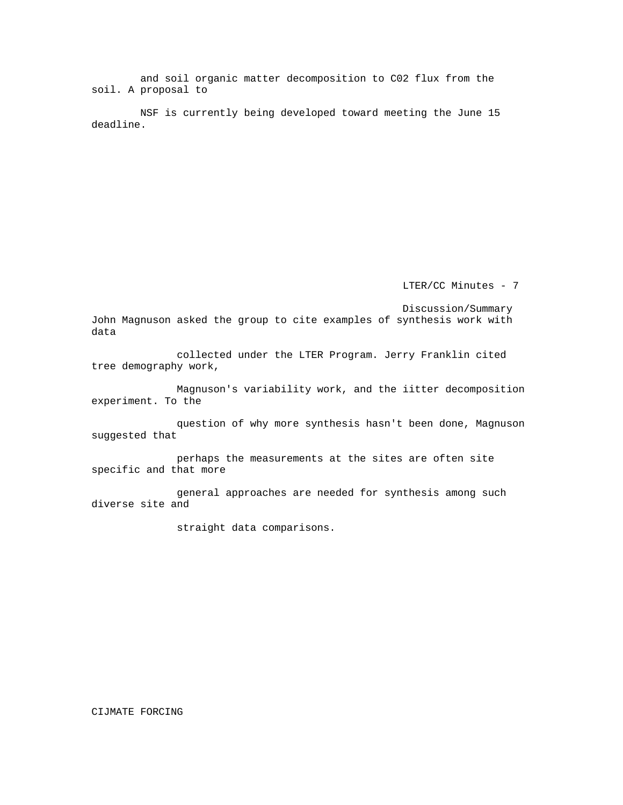and soil organic matter decomposition to C02 flux from the soil. A proposal to

 NSF is currently being developed toward meeting the June 15 deadline.

LTER/CC Minutes - 7

Discussion/Summary

John Magnuson asked the group to cite examples of synthesis work with data

 collected under the LTER Program. Jerry Franklin cited tree demography work,

 Magnuson's variability work, and the iitter decomposition experiment. To the

 question of why more synthesis hasn't been done, Magnuson suggested that

 perhaps the measurements at the sites are often site specific and that more

 general approaches are needed for synthesis among such diverse site and

straight data comparisons.

## CIJMATE FORCING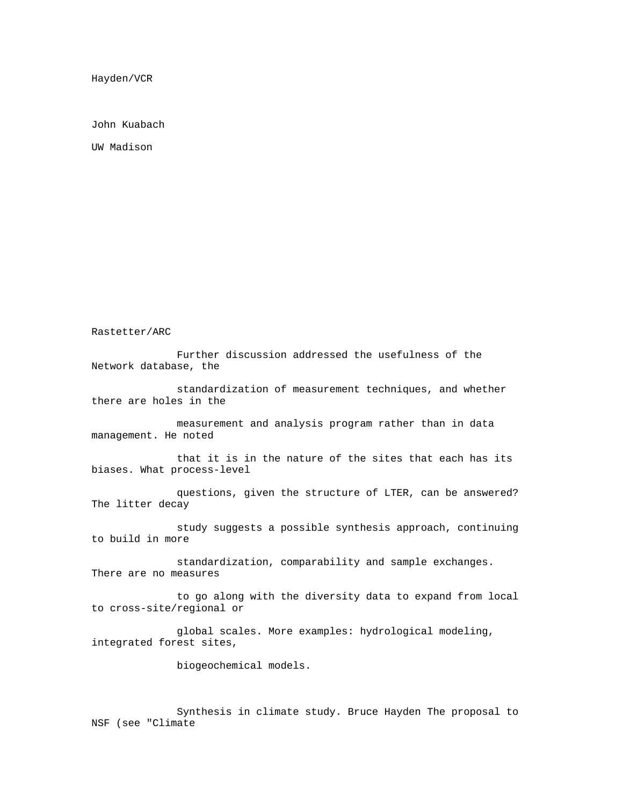Hayden/VCR

John Kuabach

UW Madison

Rastetter/ARC

 Further discussion addressed the usefulness of the Network database, the

 standardization of measurement techniques, and whether there are holes in the

 measurement and analysis program rather than in data management. He noted

 that it is in the nature of the sites that each has its biases. What process-level

 questions, given the structure of LTER, can be answered? The litter decay

 study suggests a possible synthesis approach, continuing to build in more

 standardization, comparability and sample exchanges. There are no measures

 to go along with the diversity data to expand from local to cross-site/regional or

 global scales. More examples: hydrological modeling, integrated forest sites,

biogeochemical models.

 Synthesis in climate study. Bruce Hayden The proposal to NSF (see "Climate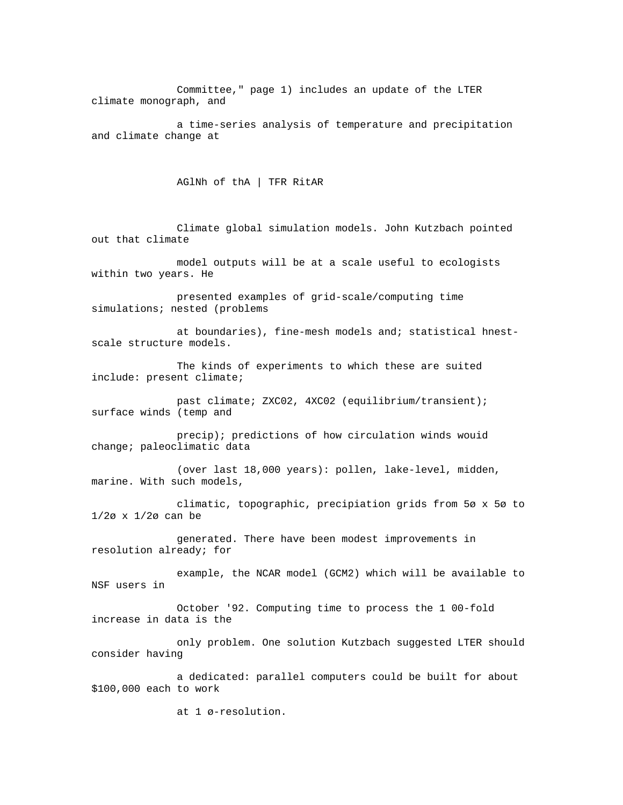Committee," page 1) includes an update of the LTER climate monograph, and

 a time-series analysis of temperature and precipitation and climate change at

AGlNh of thA | TFR RitAR

 Climate global simulation models. John Kutzbach pointed out that climate

 model outputs will be at a scale useful to ecologists within two years. He

 presented examples of grid-scale/computing time simulations; nested (problems

 at boundaries), fine-mesh models and; statistical hnestscale structure models.

 The kinds of experiments to which these are suited include: present climate;

 past climate; ZXC02, 4XC02 (equilibrium/transient); surface winds (temp and

 precip); predictions of how circulation winds wouid change; paleoclimatic data

 (over last 18,000 years): pollen, lake-level, midden, marine. With such models,

 climatic, topographic, precipiation grids from 5ø x 5ø to 1/2ø x 1/2ø can be

 generated. There have been modest improvements in resolution already; for

 example, the NCAR model (GCM2) which will be available to NSF users in

 October '92. Computing time to process the 1 00-fold increase in data is the

 only problem. One solution Kutzbach suggested LTER should consider having

 a dedicated: parallel computers could be built for about \$100,000 each to work

at 1 ø-resolution.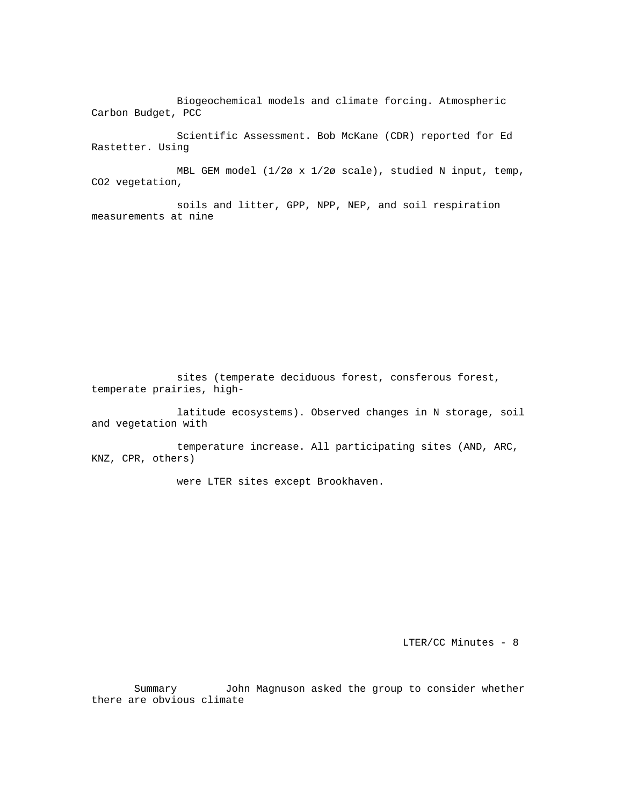Biogeochemical models and climate forcing. Atmospheric Carbon Budget, PCC

 Scientific Assessment. Bob McKane (CDR) reported for Ed Rastetter. Using

 MBL GEM model (1/2ø x 1/2ø scale), studied N input, temp, CO2 vegetation,

 soils and litter, GPP, NPP, NEP, and soil respiration measurements at nine

 sites (temperate deciduous forest, consferous forest, temperate prairies, high-

 latitude ecosystems). Observed changes in N storage, soil and vegetation with

 temperature increase. All participating sites (AND, ARC, KNZ, CPR, others)

were LTER sites except Brookhaven.

LTER/CC Minutes - 8

 Summary John Magnuson asked the group to consider whether there are obvious climate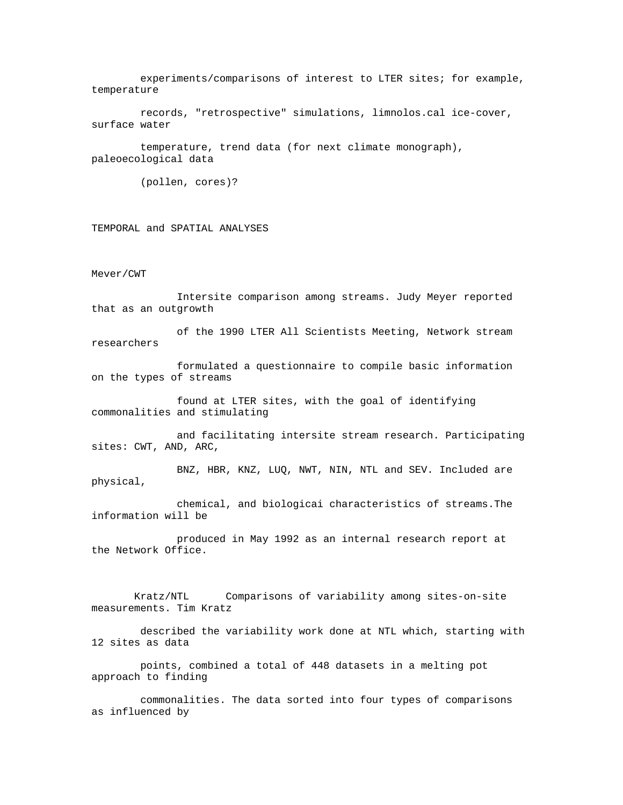experiments/comparisons of interest to LTER sites; for example, temperature

 records, "retrospective" simulations, limnolos.cal ice-cover, surface water

 temperature, trend data (for next climate monograph), paleoecological data

(pollen, cores)?

TEMPORAL and SPATIAL ANALYSES

Mever/CWT

 Intersite comparison among streams. Judy Meyer reported that as an outgrowth

 of the 1990 LTER All Scientists Meeting, Network stream researchers

 formulated a questionnaire to compile basic information on the types of streams

 found at LTER sites, with the goal of identifying commonalities and stimulating

 and facilitating intersite stream research. Participating sites: CWT, AND, ARC,

 BNZ, HBR, KNZ, LUQ, NWT, NIN, NTL and SEV. Included are physical,

 chemical, and biologicai characteristics of streams.The information will be

 produced in May 1992 as an internal research report at the Network Office.

 Kratz/NTL Comparisons of variability among sites-on-site measurements. Tim Kratz

 described the variability work done at NTL which, starting with 12 sites as data

 points, combined a total of 448 datasets in a melting pot approach to finding

 commonalities. The data sorted into four types of comparisons as influenced by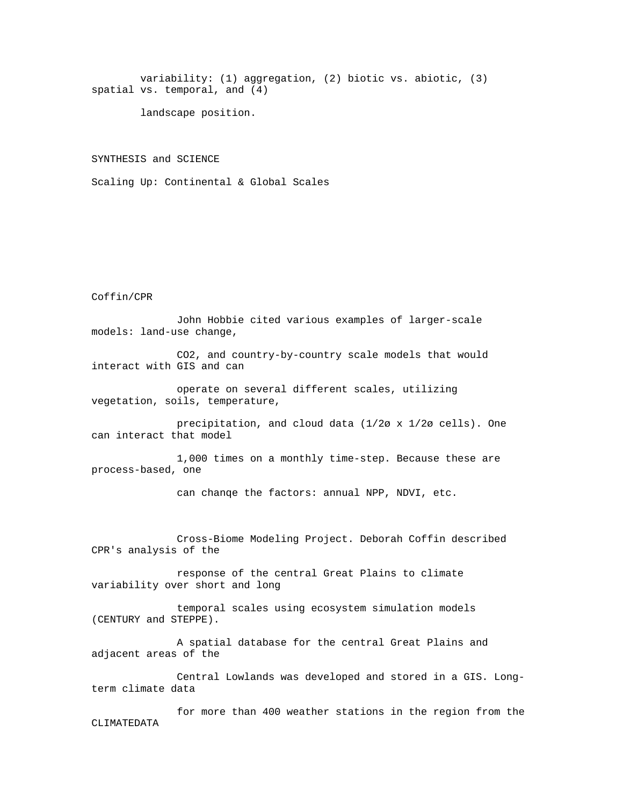variability: (1) aggregation, (2) biotic vs. abiotic, (3) spatial vs. temporal, and (4)

landscape position.

SYNTHESIS and SCIENCE

Scaling Up: Continental & Global Scales

## Coffin/CPR

 John Hobbie cited various examples of larger-scale models: land-use change,

 CO2, and country-by-country scale models that would interact with GIS and can

 operate on several different scales, utilizing vegetation, soils, temperature,

 precipitation, and cloud data (1/2ø x 1/2ø cells). One can interact that model

 1,000 times on a monthly time-step. Because these are process-based, one

can chanqe the factors: annual NPP, NDVI, etc.

 Cross-Biome Modeling Project. Deborah Coffin described CPR's analysis of the

 response of the central Great Plains to climate variability over short and long

 temporal scales using ecosystem simulation models (CENTURY and STEPPE).

 A spatial database for the central Great Plains and adjacent areas of the

 Central Lowlands was developed and stored in a GIS. Longterm climate data

 for more than 400 weather stations in the region from the CLIMATEDATA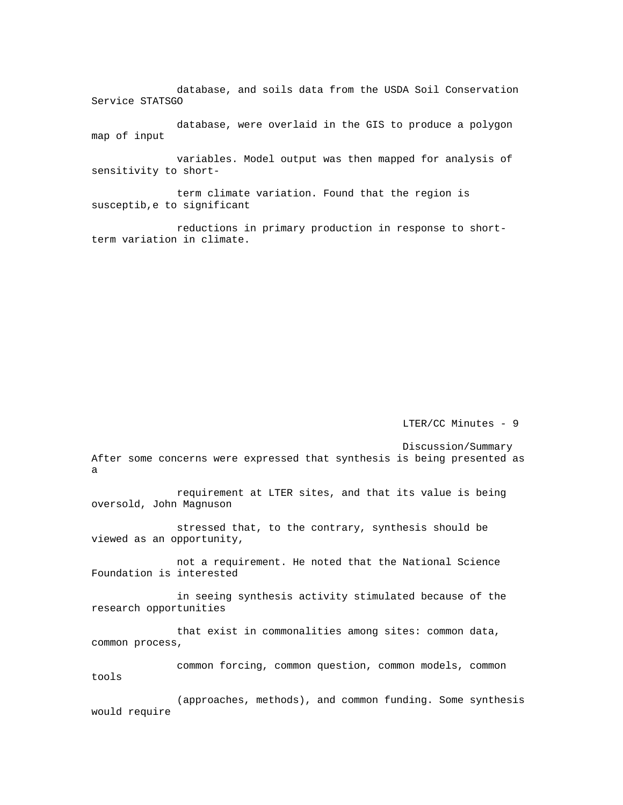database, and soils data from the USDA Soil Conservation Service STATSGO

 database, were overlaid in the GIS to produce a polygon map of input

 variables. Model output was then mapped for analysis of sensitivity to short-

 term climate variation. Found that the region is susceptib,e to significant

 reductions in primary production in response to shortterm variation in climate.

LTER/CC Minutes - 9

Discussion/Summary

After some concerns were expressed that synthesis is being presented as a

 requirement at LTER sites, and that its value is being oversold, John Magnuson

 stressed that, to the contrary, synthesis should be viewed as an opportunity,

 not a requirement. He noted that the National Science Foundation is interested

 in seeing synthesis activity stimulated because of the research opportunities

 that exist in commonalities among sites: common data, common process,

 common forcing, common question, common models, common tools

 (approaches, methods), and common funding. Some synthesis would require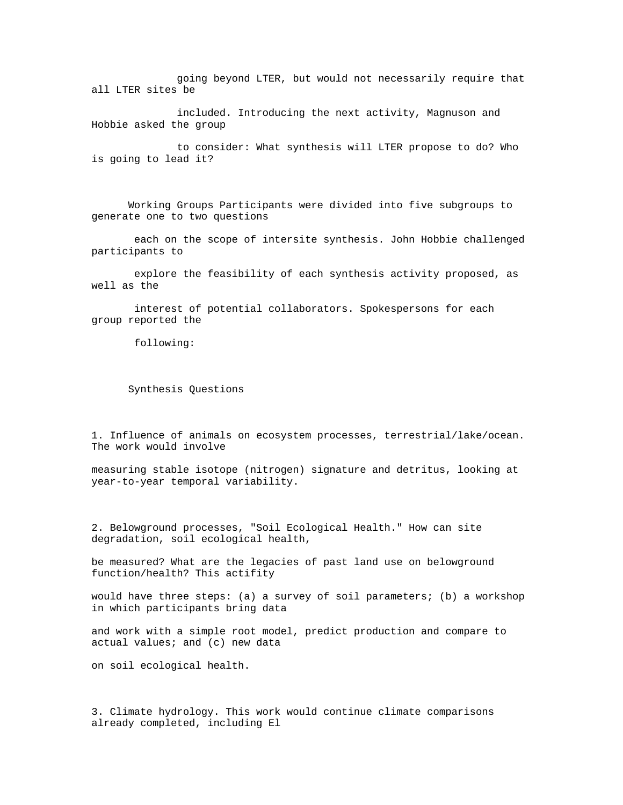going beyond LTER, but would not necessarily require that all LTER sites be

 included. Introducing the next activity, Magnuson and Hobbie asked the group

 to consider: What synthesis will LTER propose to do? Who is going to lead it?

 Working Groups Participants were divided into five subgroups to generate one to two questions

 each on the scope of intersite synthesis. John Hobbie challenged participants to

 explore the feasibility of each synthesis activity proposed, as well as the

 interest of potential collaborators. Spokespersons for each group reported the

following:

Synthesis Questions

1. Influence of animals on ecosystem processes, terrestrial/lake/ocean. The work would involve

measuring stable isotope (nitrogen) signature and detritus, looking at year-to-year temporal variability.

2. Belowground processes, "Soil Ecological Health." How can site degradation, soil ecological health,

be measured? What are the legacies of past land use on belowground function/health? This actifity

would have three steps: (a) a survey of soil parameters; (b) a workshop in which participants bring data

and work with a simple root model, predict production and compare to actual values; and (c) new data

on soil ecological health.

3. Climate hydrology. This work would continue climate comparisons already completed, including El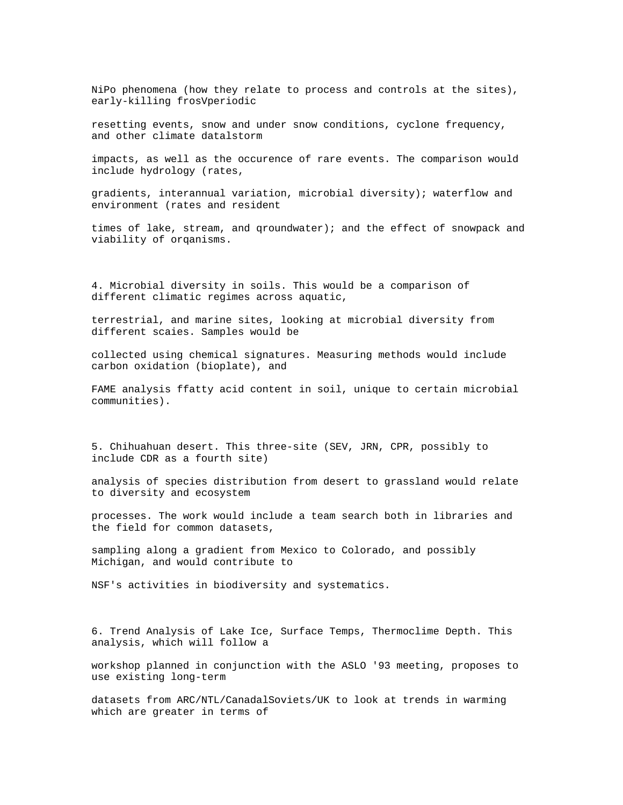NiPo phenomena (how they relate to process and controls at the sites), early-killing frosVperiodic

resetting events, snow and under snow conditions, cyclone frequency, and other climate datalstorm

impacts, as well as the occurence of rare events. The comparison would include hydrology (rates,

gradients, interannual variation, microbial diversity); waterflow and environment (rates and resident

times of lake, stream, and qroundwater); and the effect of snowpack and viability of orqanisms.

4. Microbial diversity in soils. This would be a comparison of different climatic regimes across aquatic,

terrestrial, and marine sites, looking at microbial diversity from different scaies. Samples would be

collected using chemical signatures. Measuring methods would include carbon oxidation (bioplate), and

FAME analysis ffatty acid content in soil, unique to certain microbial communities).

5. Chihuahuan desert. This three-site (SEV, JRN, CPR, possibly to include CDR as a fourth site)

analysis of species distribution from desert to grassland would relate to diversity and ecosystem

processes. The work would include a team search both in libraries and the field for common datasets,

sampling along a gradient from Mexico to Colorado, and possibly Michigan, and would contribute to

NSF's activities in biodiversity and systematics.

6. Trend Analysis of Lake Ice, Surface Temps, Thermoclime Depth. This analysis, which will follow a

workshop planned in conjunction with the ASLO '93 meeting, proposes to use existing long-term

datasets from ARC/NTL/CanadalSoviets/UK to look at trends in warming which are greater in terms of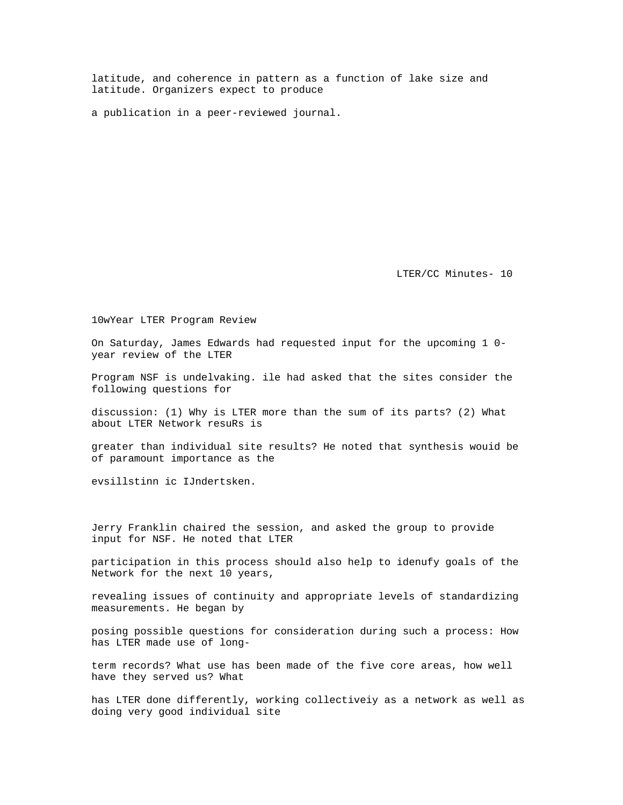latitude, and coherence in pattern as a function of lake size and latitude. Organizers expect to produce

a publication in a peer-reviewed journal.

LTER/CC Minutes- 10

10wYear LTER Program Review

On Saturday, James Edwards had requested input for the upcoming 1 0 year review of the LTER

Program NSF is undelvaking. ile had asked that the sites consider the following questions for

discussion: (1) Why is LTER more than the sum of its parts? (2) What about LTER Network resuRs is

greater than individual site results? He noted that synthesis wouid be of paramount importance as the

evsillstinn ic IJndertsken.

Jerry Franklin chaired the session, and asked the group to provide input for NSF. He noted that LTER

participation in this process should also help to idenufy goals of the Network for the next 10 years,

revealing issues of continuity and appropriate levels of standardizing measurements. He began by

posing possible questions for consideration during such a process: How has LTER made use of long-

term records? What use has been made of the five core areas, how well have they served us? What

has LTER done differently, working collectiveiy as a network as well as doing very good individual site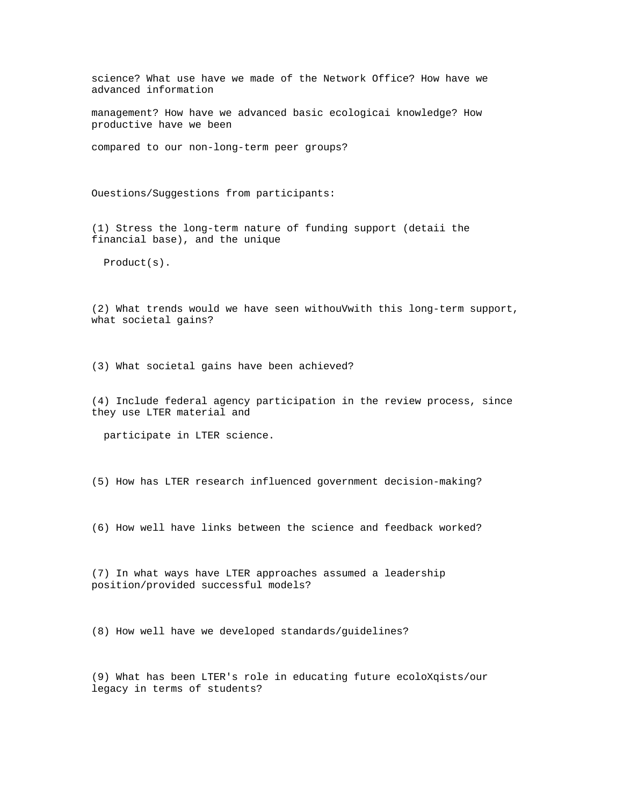science? What use have we made of the Network Office? How have we advanced information

management? How have we advanced basic ecologicai knowledge? How productive have we been

compared to our non-long-term peer groups?

Ouestions/Suggestions from participants:

(1) Stress the long-term nature of funding support (detaii the financial base), and the unique

Product(s).

(2) What trends would we have seen withouVwith this long-term support, what societal gains?

(3) What societal gains have been achieved?

(4) Include federal agency participation in the review process, since they use LTER material and

participate in LTER science.

(5) How has LTER research influenced government decision-making?

(6) How well have links between the science and feedback worked?

(7) In what ways have LTER approaches assumed a leadership position/provided successful models?

(8) How well have we developed standards/guidelines?

(9) What has been LTER's role in educating future ecoloXqists/our legacy in terms of students?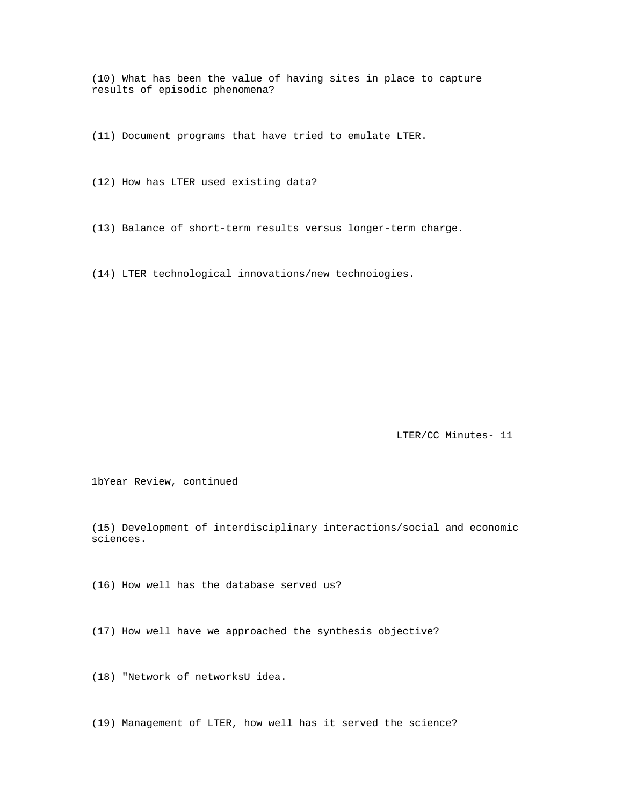(10) What has been the value of having sites in place to capture results of episodic phenomena?

(11) Document programs that have tried to emulate LTER.

(12) How has LTER used existing data?

(13) Balance of short-term results versus longer-term charge.

(14) LTER technological innovations/new technoiogies.

LTER/CC Minutes- 11

1bYear Review, continued

(15) Development of interdisciplinary interactions/social and economic sciences.

(16) How well has the database served us?

(17) How well have we approached the synthesis objective?

(18) "Network of networksU idea.

(19) Management of LTER, how well has it served the science?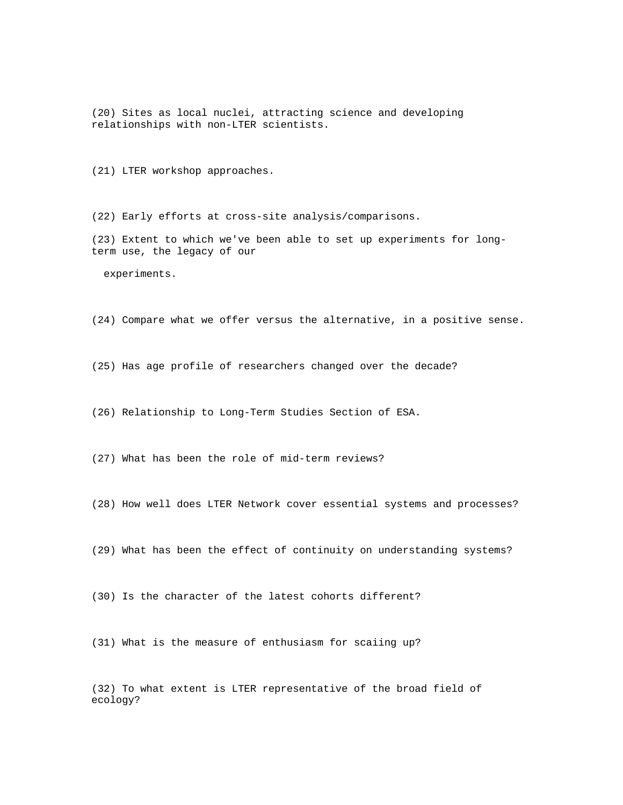(20) Sites as local nuclei, attracting science and developing relationships with non-LTER scientists.

(21) LTER workshop approaches.

(22) Early efforts at cross-site analysis/comparisons.

(23) Extent to which we've been able to set up experiments for longterm use, the legacy of our

experiments.

(24) Compare what we offer versus the alternative, in a positive sense.

(25) Has age profile of researchers changed over the decade?

(26) Relationship to Long-Term Studies Section of ESA.

(27) What has been the role of mid-term reviews?

(28) How well does LTER Network cover essential systems and processes?

(29) What has been the effect of continuity on understanding systems?

(30) Is the character of the latest cohorts different?

(31) What is the measure of enthusiasm for scaiing up?

(32) To what extent is LTER representative of the broad field of ecology?